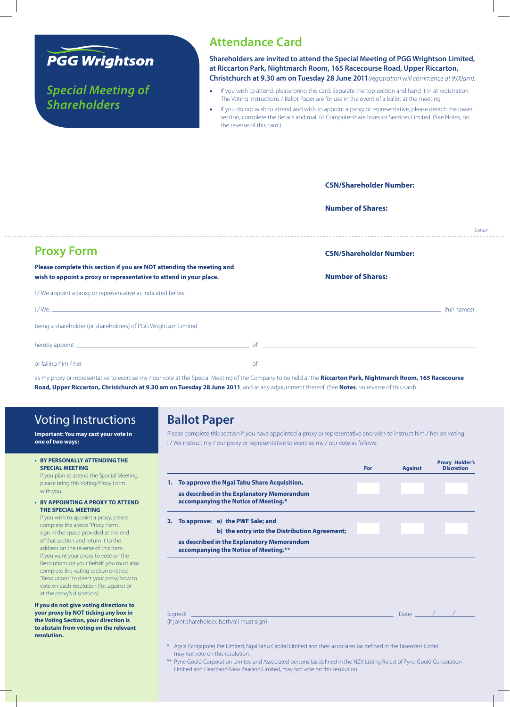

*Special Meeting of Shareholders*

### **Attendance Card**

**Shareholders are invited to attend the Special Meeting of PGG Wrightson Limited, at Riccarton Park, Nightmarch Room, 165 Racecourse Road, Upper Riccarton, Christchurch at 9.30 am on Tuesday 28 June 2011***(registration will commence at 9:00am).*

- If you wish to attend, please bring this card. Separate the top section and hand it in at registration. The Voting Instructions / Ballot Paper are for use in the event of a ballot at the meeting.
- If you do not wish to attend and wish to appoint a proxy or representative, please detach the lower section, complete the details and mail to Computershare Investor Services Limited. (See Notes, on the reverse of this card.)

|                                                                                                                                                                                                                                      | <b>CSN/Shareholder Number:</b> |        |
|--------------------------------------------------------------------------------------------------------------------------------------------------------------------------------------------------------------------------------------|--------------------------------|--------|
|                                                                                                                                                                                                                                      | <b>Number of Shares:</b>       |        |
|                                                                                                                                                                                                                                      |                                | Detach |
| <b>Proxy Form</b>                                                                                                                                                                                                                    | <b>CSN/Shareholder Number:</b> |        |
| Please complete this section if you are NOT attending the meeting and<br>wish to appoint a proxy or representative to attend in your place.                                                                                          | <b>Number of Shares:</b>       |        |
| I/We appoint a proxy or representative as indicated below.                                                                                                                                                                           |                                |        |
|                                                                                                                                                                                                                                      |                                |        |
| being a shareholder (or shareholders) of PGG Wrightson Limited                                                                                                                                                                       |                                |        |
| hereby appoint <u>example and the contract of the contract of the contract of the contract of the contract of the contract of the contract of the contract of the contract of the contract of the contract of the contract of th</u> |                                |        |
|                                                                                                                                                                                                                                      |                                |        |

as my proxy or representative to exercise my / our vote at the Special Meeting of the Company to be held at the **Riccarton Park, Nightmarch Room, 165 Racecourse Road, Upper Riccarton, Christchurch at 9.30 am on Tuesday 28 June 2011**, and at any adjournment thereof. (See **Notes**, on reverse of this card).

# Voting Instructions

**Important: You may cast your vote in one of two ways:**

#### **• BY PERSONALLY ATTENDINGTHE SPECIAL MEETING**

If you plan to attend the Special Meeting, please bring this Voting/Proxy Form with you.

#### **• BY APPOINTING A PROXY TO ATTEND THE SPECIAL MEETING**

If you wish to appoint a proxy, please complete the above "Proxy Form", sign in the space provided at the end of that section and return it to the address on the reverse of this form. If you want your proxy to vote on the Resolutions on your behalf, you must also complete the voting section entitled "Resolutions" to direct your proxy how to vote on each resolution (for, against or at the proxy's discretion).

**If you do not give voting directions to your proxy by NOT ticking any box in the Voting Section, your direction is to abstain from voting on the relevant resolution.**

## **Ballot Paper**

Please complete this section if you have appointed a proxy or representative and wish to instruct him / her on voting. I / We instruct my / our proxy or representative to exercise my / our vote as follows:

|         |                                                                                     | <b>For</b> | <b>Against</b> | <b>Proxy Holder's</b><br><b>Discretion</b> |
|---------|-------------------------------------------------------------------------------------|------------|----------------|--------------------------------------------|
| 1.      | To approve the Ngai Tahu Share Acquisition,                                         |            |                |                                            |
|         | as described in the Explanatory Memorandum<br>accompanying the Notice of Meeting.*  |            |                |                                            |
|         | 2. To approve: a) the PWF Sale; and                                                 |            |                |                                            |
|         | b) the entry into the Distribution Agreement;                                       |            |                |                                            |
|         | as described in the Explanatory Memorandum<br>accompanying the Notice of Meeting.** |            |                |                                            |
|         |                                                                                     |            |                |                                            |
|         |                                                                                     |            |                |                                            |
|         |                                                                                     |            |                |                                            |
| Signed: |                                                                                     |            | Date:          |                                            |

(if joint shareholder, both/all must sign)

- \* Agria (Singapore) Pte Limited, Ngai Tahu Capital Limited and their associates (as defined in the Takeovers Code) may not vote on this resolution.
- \*\* Pyne Gould Corporation Limited and Associated persons (as defined in the NZX Listing Rules) of Pyne Gould Corporation Limited and Heartland New Zealand Limited, may not vote on this resolution.